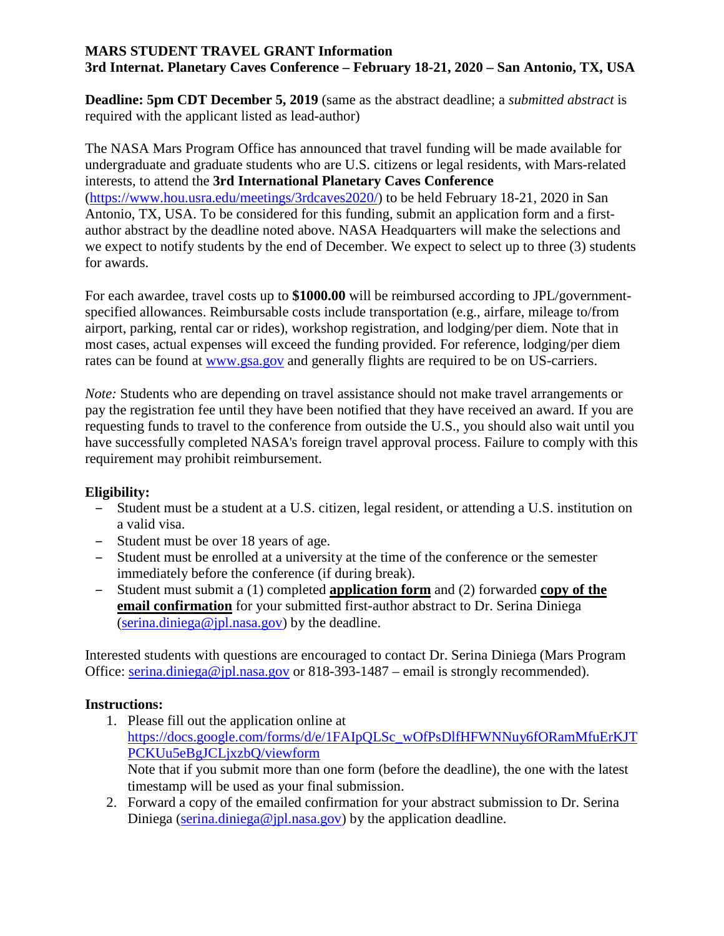## **MARS STUDENT TRAVEL GRANT Information 3rd Internat. Planetary Caves Conference – February 18-21, 2020 – San Antonio, TX, USA**

**Deadline: 5pm CDT December 5, 2019** (same as the abstract deadline; a *submitted abstract* is required with the applicant listed as lead-author)

The NASA Mars Program Office has announced that travel funding will be made available for undergraduate and graduate students who are U.S. citizens or legal residents, with Mars-related interests, to attend the **3rd International Planetary Caves Conference** [\(https://www.hou.usra.edu/meetings/3rdcaves2020/\)](https://www.hou.usra.edu/meetings/3rdcaves2020/) to be held February 18-21, 2020 in San Antonio, TX, USA. To be considered for this funding, submit an application form and a firstauthor abstract by the deadline noted above. NASA Headquarters will make the selections and we expect to notify students by the end of December. We expect to select up to three (3) students for awards.

For each awardee, travel costs up to **\$1000.00** will be reimbursed according to JPL/governmentspecified allowances. Reimbursable costs include transportation (e.g., airfare, mileage to/from airport, parking, rental car or rides), workshop registration, and lodging/per diem. Note that in most cases, actual expenses will exceed the funding provided. For reference, lodging/per diem rates can be found at [www.gsa.gov](http://www.gsa.gov/) and generally flights are required to be on US-carriers.

*Note:* Students who are depending on travel assistance should not make travel arrangements or pay the registration fee until they have been notified that they have received an award. If you are requesting funds to travel to the conference from outside the U.S., you should also wait until you have successfully completed NASA's foreign travel approval process. Failure to comply with this requirement may prohibit reimbursement.

## **Eligibility:**

- Student must be a student at a U.S. citizen, legal resident, or attending a U.S. institution on a valid visa.
- Student must be over 18 years of age.
- Student must be enrolled at a university at the time of the conference or the semester immediately before the conference (if during break).
- Student must submit a (1) completed **application form** and (2) forwarded **copy of the email confirmation** for your submitted first-author abstract to Dr. Serina Diniega [\(serina.diniega@jpl.nasa.gov\)](mailto:serina.diniega@jpl.nasa.gov) by the deadline.

Interested students with questions are encouraged to contact Dr. Serina Diniega (Mars Program Office: [serina.diniega@jpl.nasa.gov](mailto:serina.diniega@jpl.nasa.gov) or 818-393-1487 – email is strongly recommended).

## **Instructions:**

- 1. Please fill out the application online at [https://docs.google.com/forms/d/e/1FAIpQLSc\\_wOfPsDlfHFWNNuy6fORamMfuErKJT](https://docs.google.com/forms/d/e/1FAIpQLSc_wOfPsDlfHFWNNuy6fORamMfuErKJTPCKUu5eBgJCLjxzbQ/viewform) [PCKUu5eBgJCLjxzbQ/viewform](https://docs.google.com/forms/d/e/1FAIpQLSc_wOfPsDlfHFWNNuy6fORamMfuErKJTPCKUu5eBgJCLjxzbQ/viewform) Note that if you submit more than one form (before the deadline), the one with the latest timestamp will be used as your final submission.
- 2. Forward a copy of the emailed confirmation for your abstract submission to Dr. Serina Diniega [\(serina.diniega@jpl.nasa.gov\)](mailto:serina.diniega@jpl.nasa.gov) by the application deadline.